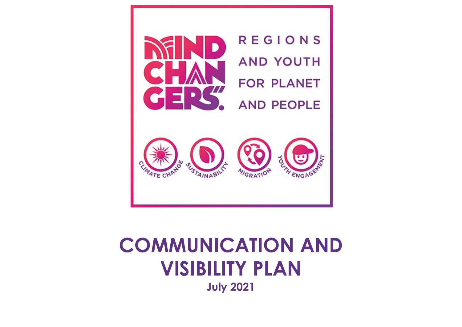

# **COMMUNICATION AND VISIBILITY PLAN July 2021**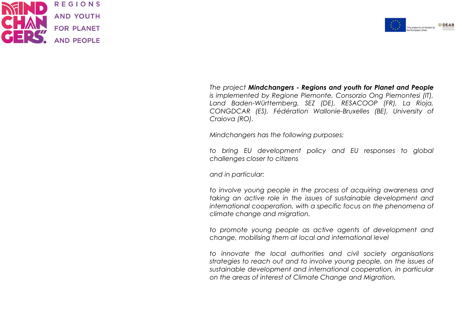



*The project Mindchangers - Regions and youth for Planet and People is implemented by Regione Piemonte, Consorzio Ong Piemontesi (IT), Land Baden-Württemberg, SEZ (DE), RESACOOP (FR), La Rioja, CONGDCAR (ES), Fédération Wallonie-Bruxelles (BE), University of Craiova (RO).*

*Mindchangers has the following purposes:*

*to bring EU development policy and EU responses to global challenges closer to citizens*

*and in particular:*

*to involve young people in the process of acquiring awareness and taking an active role in the issues of sustainable development and international cooperation, with a specific focus on the phenomena of climate change and migration.*

*to promote young people as active agents of development and change, mobilising them at local and international level*

*to innovate the local authorities and civil society organisations strategies to reach out and to involve young people, on the issues of sustainable development and international cooperation, in particular on the areas of interest of Climate Change and Migration.*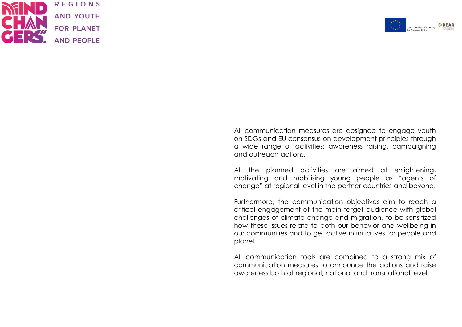



All communication measures are designed to engage youth on SDGs and EU consensus on development principles through a wide range of activities: awareness raising, campaigning and outreach actions.

All the planned activities are aimed at enlightening, motivating and mobilising young people as "agents of change" at regional level in the partner countries and beyond.

Furthermore, the communication objectives aim to reach a critical engagement of the main target audience with global challenges of climate change and migration, to be sensitized how these issues relate to both our behavior and wellbeing in our communities and to get active in initiatives for people and planet.

All communication tools are combined to a strong mix of communication measures to announce the actions and raise awareness both at regional, national and transnational level.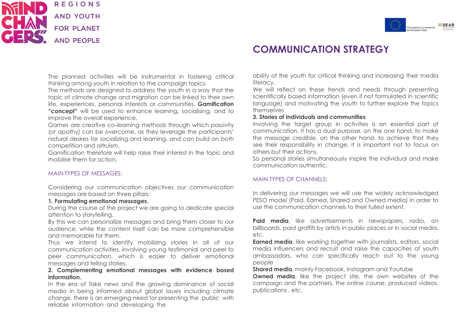



# **COMMUNICATION STRATEGY**

The planned activities will be instrumental in fostering critical thinking among youth in relation to the campaign topics.

The methods are designed to address the youth in a way that the topic of climate change and migration can be linked to their own life, experiences, personal interests or communities. **Gamification "concept"** will be used to enhance learning, socialising, and to improve the overall experience.

Games are creative co-learning methods through which passivity (or apathy) can be overcome, as they leverage the participants' natural desires for socializing and learning, and can build on both competition and altruism.

Gamification therefore will help raise their interest in the topic and mobilise them for action.

#### MAIN TYPES OF MESSAGES:

Considering our communication objectives our communication messages are based on three pillars:

#### **1. Formulating emotional messages.**

During the course of the project we are going to dedicate special attention to storytelling.

By this we can personalize messages and bring them closer to our audience, while the content itself can be more comprehensible and memorable for them.

Thus we intend to identify mobilizing stories in all of our communication activities, involving young testimonial and peer to peer communication, which is easier to deliver emotional messages and telling stories.

#### **2. Complementing emotional messages with evidence based information.**

In the era of fake news and the growing dominance of social media in being informed about global issues including climate change, there is an emerging need for presenting the public with reliable information and developing the

ability of the youth for critical thinking and increasing their media literacy.

We will reflect on these trends and needs through presenting scientifically based information (even if not formulated in scientific language) and motivating the youth to further explore the topics themselves

#### **3. Stories of individuals and communities**

Involving the target group in activities is an essential part of communication. It has a dual purpose, on the one hand, to make the message credible, on the other hand, to achieve that they see their responsibility in change, it is important not to focus on others but their actions.

So personal stories simultaneously inspire the individual and make communication authentic.

#### MAIN TYPES OF CHANNELS:

In delivering our messages we will use the widely acknowledged PESO model (Paid, Earned, Shared and Owned media) in order to use the communication channels to their fullest extent.

**Paid media**, like advertisements in newspapers, radio, on billboards, paid graffiti by artists in public places or in social media, etc.

**Earned media**, like working together with journalists, editors, social media influencers and recruit and raise the capacities of youth ambassadors, who can specifically reach out to the young people

**Shared media**, mainly Facebook, Instagram and Youtube

**Owned media**, like the project site, the own websites of the campaign and the partners, the online course, produced videos, publications , etc.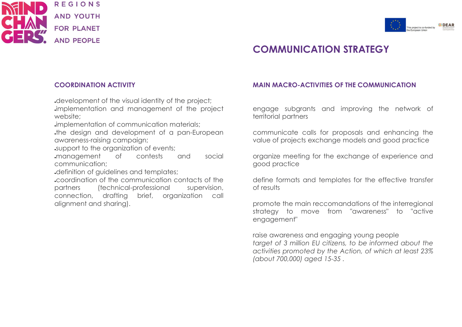



# **COMMUNICATION STRATEGY**

### **COORDINATION ACTIVITY**

. development of the visual identity of the project;

implementation and management of the project website;

.implementation of communication materials;

the design and development of a pan-European awareness-raising campaign;

support to the organization of events;

.management of contests and social communication;

.definition of quidelines and templates;

●coordination of the communication contacts of the partners (technical-professional supervision, connection, drafting brief, organization call alignment and sharing).

### **MAIN MACRO-ACTIVITIES OF THE COMMUNICATION**

engage subgrants and improving the network of territorial partners

communicate calls for proposals and enhancing the value of projects exchange models and good practice

organize meeting for the exchange of experience and good practice

define formats and templates for the effective transfer of results

promote the main reccomandations of the interregional strategy to move from "awareness" to "active engagement"

raise awareness and engaging young people *target of 3 million EU citizens, to be informed about the activities promoted by the Action, of which at least 23% (about 700,000) aged 15-35 .*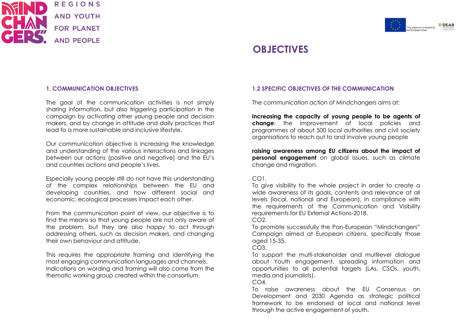



# **OBJECTIVES**

#### **1. COMMUNICATION OBJECTIVES**

The goal of the communication activities is not simply sharing information, but also triggering participation in the campaign by activating other young people and decision makers, and by change in attitude and daily practices that lead to a more sustainable and inclusive lifestyle.

Our communication objective is increasing the knowledge and understanding of the various interactions and linkages between our actions (positive and negative) and the EU's and countries actions and people's lives.

Especially young people still do not have this understanding of the complex relationships between the EU and developing countries, and how different social and economic, ecological processes impact each other.

From the communication point of view, our objective is to find the means so that young people are not only aware of the problem, but they are also happy to act through addressing others, such as decision makers, and changing their own behaviour and attitude.

This requires the appropriate framing and identifying the most engaging communication languages and channels. Indications on wording and framing will also come from the thematic working group created within the consortium.

#### **1.2 SPECIFIC OBJECTIVES OF THE COMMUNICATION**

The communication action of Mindchangers aims at:

**increasing the capacity of young people to be agents of change**; the improvement of local policies and programmes of about 500 local authorities and civil society organisations to reach out to and involve young people

**raising awareness among EU citizens about the impact of personal engagement** on global issues, such as climate change and migration.

#### CO1.

To give visibility to the whole project in order to create a wide awareness of its goals, contents and relevance at all levels (local, national and European), in compliance with the requirements of the Communication and Visibility requirements for EU External Actions-2018.

CO<sub>2</sub>

To promote successfully the Pan-European "Mindchangers" Campaign aimed at European citizens, specifically those aged 15-35.

 $CO<sub>3</sub>$ 

To support the multi-stakeholder and multilevel dialogue about Youth engagement, spreading information and opportunities to all potential targets (LAs, CSOs, youth, media and journalists).

 $CO<sub>4</sub>$ .

To raise awareness about the EU Consensus on Development and 2030 Agenda as strategic political framework to be endorsed at local and national level through the active engagement of youth.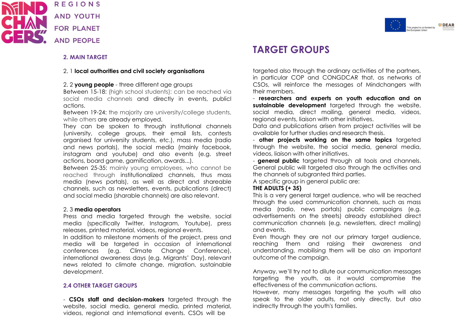



### **TARGET GROUPS**

#### **2. MAIN TARGET**

#### 2. 1 **local authorities and civil society organisations**

#### 2. 2 **young people** - three different age groups

Between 15-18: (high school students): can be reached via social media channels and directly in events, publicl actions.

Between 19-24: the majority are university/college students, while others are already employed.

They can be spoken to through institutional channels (university, college groups, their email lists, contests organised for university students, etc.), mass media (radio and news portals), the social media (mainly facebook, instagram and youtube) and also events (e.g. street actions, board game, gamification, awards...).

Between 25-35: mainly young employees, who cannot be reached through institutionalized channels, thus mass media (news portals), as well as direct and shareable channels, such as newsletters, events, publications (direct) and social media (sharable channels) are also relevant.

#### 2. 3 **media operators**

Press and media targeted through the website, social media (specifically Twitter, Instagram, Youtube), press releases, printed material, videos, regional events.

In addition to milestone moments of the project, press and media will be targeted in occasion of international conferences (e.g. Climate Change Conference), international awareness days (e.g. Migrants' Day), relevant news related to climate change, migration, sustainable development.

### **2.4 OTHER TARGET GROUPS**

- **CSOs staff and decision-makers** targeted through the website, social media, general media, printed material, videos, regional and international events. CSOs will be

targeted also through the ordinary activities of the partners, in particular COP and CONGDCAR that, as networks of CSOs, will reinforce the messages of Mindchangers with their members.

- **researchers and experts on youth education and on sustainable development** targeted through the website, social media, direct mailing, general media, videos, regional events, liaison with other initiatives.

Data and publications arisen from project activities will be available for further studies and research thesis.

- **other projects working on the same topics** targeted through the website, the social media, general media, videos, liaison with other initiatives.

- **general public** targeted through all tools and channels. General public will targeted also through the activities and the channels of subgranted third parties.

A specific group in general public are:

### **THE ADULTS (+ 35)**

This is a very general target audience, who will be reached through the used communication channels, such as mass media (radio, news portals) public campaigns (e.g. advertisements on the streets) already established direct communication channels (e.g. newsletters, direct mailing) and events.

Even though they are not our primary target audience, reaching them and raising their awareness and understanding, mobilising them will be also an important outcome of the campaign.

Anyway, we'll try not to dilute our communication messages targeting the youth, as it would compromise the effectiveness of the communication actions.

However, many messages targeting the youth will also speak to the older adults, not only directly, but also indirectly through the youth's families.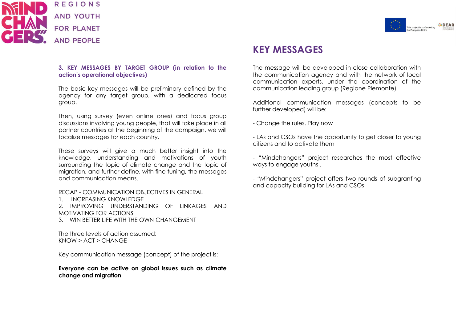



### **KEY MESSAGES**

#### **3. KEY MESSAGES BY TARGET GROUP (in relation to the action's operational objectives)**

The basic key messages will be preliminary defined by the agency for any target group, with a dedicated focus group.

Then, using survey (even online ones) and focus group discussions involving young people, that will take place in all partner countries at the beginning of the campaign, we will focalize messages for each country.

These surveys will give a much better insight into the knowledge, understanding and motivations of youth surrounding the topic of climate change and the topic of migration, and further define, with fine tuning, the messages and communication means.

#### RECAP - COMMUNICATION OBJECTIVES IN GENERAL

1. INCREASING KNOWLEDGE

2. IMPROVING UNDERSTANDING OF LINKAGES AND MOTIVATING FOR ACTIONS

3. WIN BETTER LIFE WITH THE OWN CHANGEMENT

The three levels of action assumed: KNOW > ACT > CHANGE

Key communication message (concept) of the project is:

**Everyone can be active on global issues such as climate change and migration**

The message will be developed in close collaboration with the communication agency and with the network of local communication experts, under the coordination of the communication leading group (Regione Piemonte).

Additional communication messages (concepts to be further developed) will be:

- Change the rules. Play now

- LAs and CSOs have the opportunity to get closer to young citizens and to activate them

- "Mindchangers" project researches the most effective ways to engage youths .

- "Mindchangers" project offers two rounds of subgranting and capacity building for LAs and CSOs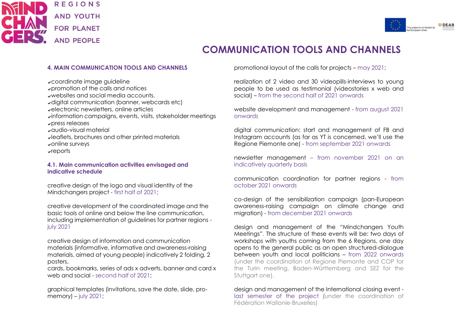



# **COMMUNICATION TOOLS AND CHANNELS**

#### **4. MAIN COMMUNICATION TOOLS AND CHANNELS**

✔coordinate image guideline ✔promotion of the calls and notices ✔websites and social media accounts. ✔digital communication (banner, webcards etc) ✔electronic newsletters, online articles ✔information campaigns, events, visits, stakeholder meetings ✔press releases ✔audio-visual material ✔leaflets, brochures and other printed materials ✔online surveys ✔reports

#### **4.1. Main communication activities envisaged and indicative schedule**

creative design of the logo and visual identity of the Mindchangers project - first half of 2021;

creative development of the coordinated image and the basic tools of online and below the line communication, including implementation of guidelines for partner regions july 2021

creative design of information and communication materials (informative, informative and awareness-raising materials, aimed at young people) indicatively 2 folding, 2 posters,

cards, bookmarks, series of ads x adverts, banner and card x web and social - second half of 2021;

graphical templates (invitations, save the date, slide, promemory) – july 2021;

promotional layout of the calls for projects – may 2021;

realization of 2 video and 30 videopills-interviews to young people to be used as testimonial (videostories x web and social) – from the second half of 2021 onwards

website development and management - from august 2021 onwards

digital communication: start and management of FB and Instagram accounts (as far as YT is concerned, we'll use the Regione Piemonte one) - from september 2021 onwards

newsletter management – from november 2021 on an indicatively quarterly basis

communication coordination for partner regions - from october 2021 onwards

co-design of the sensibilization campaign (pan-European awareness-raising campaign on climate change and migration) - from december 2021 onwards

design and management of the "Mindchangers Youth Meetings". The structure of these events will be: two days of workshops with youths coming from the 6 Regions, one day opens to the general public as an open structured-dialogue between youth and local politicians – from 2022 onwards (under the coordination of Regione Piemonte and COP for the Turin meeting, Baden-Württemberg and SEZ for the Stuttgart one).

design and management of the International closing event last semester of the project (under the coordination of Fédération Wallonie-Bruxelles)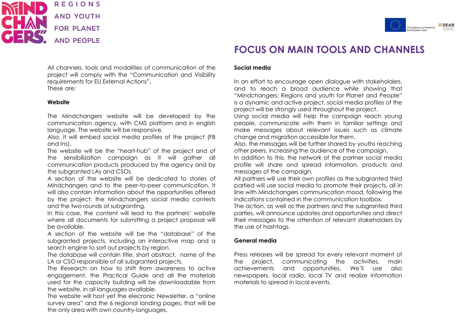



# **FOCUS ON MAIN TOOLS AND CHANNELS**

All channels, tools and modalities of communication of the project will comply with the "Communication and Visibility requirements for EU External Actions". These are:

#### **Website**

The Mindchangers website will be developed by the communication agency, with CMS platform and in english language. The website will be responsive.

Also, it will embed social media profiles of the project (FB and Ins).

The website will be the "heart-hub" of the project and of the sensibilization campaign as it will gather all communication products produced by the agency and by the subgranted LAs and CSOs.

A section of the website will be dedicated to stories of Mindchangers and to the peer-to-peer communication. It will also contain information about the opportunities offered by the project: the Mindchangers social media contests and the two rounds of subgranting.

In this case, the content will lead to the partners' website where all documents for submitting a project proposal will be available.

A section of the website will be the "database" of the subgranted projects, including an interactive map and a search engine to sort out projects by region.

The database will contain title, short abstract, name of the LA or CSO responsible of all subgranted projects.

The Research on how to shift from awareness to active engagement, the Practical Guide and all the materials used for the capacity building will be downloadable from the website, in all languages available.

The website will host yet the elecronic Newsletter, a "online survey area" and the 6 regional landing pages, that will be the only area with own country-languages.

#### **Social media**

In an effort to encourage open dialogue with stakeholders, and to reach a broad audience while showing that "Mindchangers: Regions and youth for Planet and People" is a dynamic and active project, social media profiles of the project will be strongly used throughout the project.

Using social media will help the campaign reach young people, communicate with them in familiar settings and make messages about relevant issues such as climate change and migration accessible for them.

Also, the messages will be further shared by youths reaching other peers, increasing the audience of the campaign.

In addition to this, the network of the partner social media profile will share and spread information, products and messages of the campaign.

All partners will use their own profiles as the subgranted third partied will use social media to promote their projects, all in line with Mindchangers communication mood, following the indications contained in the communication toolbox.

The action, as well as the partners and the subgranted third parties, will announce updates and opportunities and direct their messages to the attention of relevant stakeholders by the use of hashtags.

#### **General media**

Press releases will be spread for every relevant moment of the project, communicating the activities, main achievements and opportunities. We'll use also newspapers, local radio, local TV and realize information materials to spread in local events.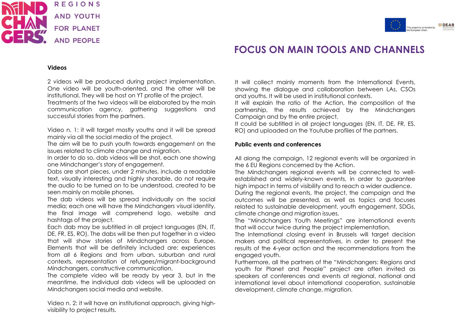



# **FOCUS ON MAIN TOOLS AND CHANNELS**

#### **Videos**

2 videos will be produced during project implementation. One video will be youth-oriented, and the other will be institutional. They will be host on YT profile of the project. Treatments of the two videos will be elaborated by the main communication agency, gathering suggestions and successful stories from the partners.

Video n. 1: it will target mostly youths and it will be spread mainly via all the social media of the project.

The aim will be to push youth towards engagement on the issues related to climate change and migration.

In order to do so, dab videos will be shot, each one showing one Mindchanger's story of engagement.

Dabs are short pieces, under 2 minutes, include a readable text, visually interesting and highly sharable, do not require the audio to be turned on to be understood, created to be seen mainly on mobile phones.

The dab videos will be spread individually on the social media; each one will have the Mindchangers visual identity, the final image will comprehend logo, website and hashtags of the project.

Each dab may be subtitled in all project languages (EN, IT, DE, FR, ES, RO). The dabs will be then put together in a video that will show stories of Mindchangers across Europe. Elements that will be definitely included are: experiences from all 6 Regions and from urban, suburban and rural contexts, representation of refugees/migrant-background Mindchangers, constructive communication.

The complete video will be ready by year 3, but in the meantime, the individual dab videos will be uploaded on Mindchangers social media and website.

Video n. 2: it will have an institutional approach, giving highvisibility to project results.

It will collect mainly moments from the International Events, showing the dialogue and collaboration between LAs, CSOs and youths. It will be used in institutional contexts.

It will explain the ratio of the Action, the composition of the partnership, the results achieved by the Mindchangers Campaign and by the entire project.

It could be subtitled in all project languages (EN, IT, DE, FR, ES, RO) and uploaded on the Youtube profiles of the partners.

#### **Public events and conferences**

All along the campaign, 12 regional events will be organized in the 6 EU Regions concerned by the Action.

The Mindchangers regional events will be connected to wellestablished and widely-known events, in order to guarantee high impact in terms of visibility and to reach a wider audience.

During the regional events, the project, the campaign and the outcomes will be presented, as well as topics and focuses related to sustainable development, youth engagement, SDGs, climate change and migration issues.

The "Mindchangers Youth Meetings" are international events that will occur twice during the project implementation.

The International closing event in Brussels will target decision makers and political representatives, in order to present the results of the 4-year action and the recommendations from the engaged youth.

Furthermore, all the partners of the "Mindchangers: Regions and youth for Planet and People" project are often invited as speakers at conferences and events at regional, national and international level about international cooperation, sustainable development, climate change, migration.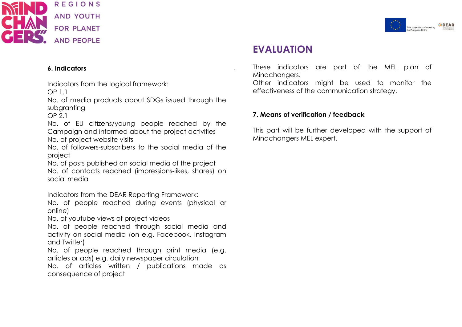



## **EVALUATION**

### **6. Indicators** .

Indicators from the logical framework: OP 1.1

No. of media products about SDGs issued through the subgranting

OP 2.1

No. of EU citizens/young people reached by the Campaign and informed about the project activities

No. of project website visits

No. of followers-subscribers to the social media of the project

No. of posts published on social media of the project No. of contacts reached (impressions-likes, shares) on social media

Indicators from the DEAR Reporting Framework:

No. of people reached during events (physical or online)

No. of youtube views of project videos

No. of people reached through social media and activity on social media (on e.g. Facebook, Instagram and Twitter)

No. of people reached through print media (e.g. articles or ads) e.g. daily newspaper circulation

No. of articles written / publications made as consequence of project

These indicators are part of the MEL plan of Mindchangers.

Other indicators might be used to monitor the effectiveness of the communication strategy.

### **7. Means of verification / feedback**

This part will be further developed with the support of Mindchangers MEL expert.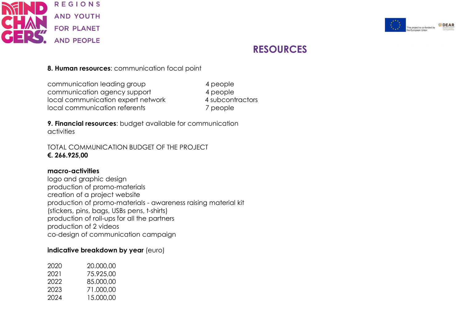



# **RESOURCES**

### **8. Human resources**: communication focal point

communication leading group 4 people communication agency support 4 people local communication expert network 4 subcontractors local communication referents 7 people

**9. Financial resources**: budget available for communication activities

TOTAL COMMUNICATION BUDGET OF THE PROJECT **€. 266.925,00**

### **macro-activities**

logo and graphic design production of promo-materials creation of a project website production of promo-materials - awareness raising material kit (stickers, pins, bags, USBs pens, t-shirts) production of roll-ups for all the partners production of 2 videos co-design of communication campaign

### **indicative breakdown by year** (euro)

| 2020 | 20.000.00 |
|------|-----------|
| 2021 | 75.925.00 |
| 2022 | 85.000.00 |
| 2023 | 71.000.00 |
| 2024 | 15,000,00 |